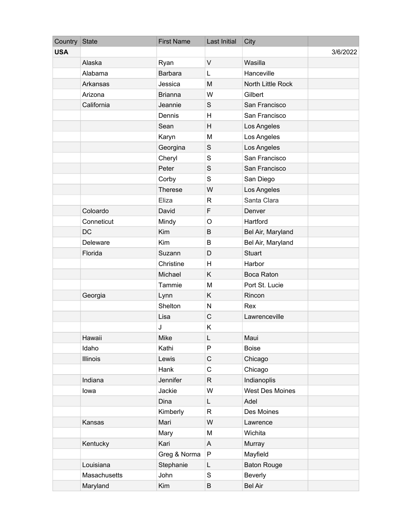| Country    | <b>State</b> | <b>First Name</b> | Last Initial | City               |          |
|------------|--------------|-------------------|--------------|--------------------|----------|
| <b>USA</b> |              |                   |              |                    | 3/6/2022 |
|            | Alaska       | Ryan              | $\vee$       | Wasilla            |          |
|            | Alabama      | Barbara           | L            | Hanceville         |          |
|            | Arkansas     | Jessica           | M            | North Little Rock  |          |
|            | Arizona      | <b>Brianna</b>    | W            | Gilbert            |          |
|            | California   | Jeannie           | S            | San Francisco      |          |
|            |              | Dennis            | Н            | San Francisco      |          |
|            |              | Sean              | H            | Los Angeles        |          |
|            |              | Karyn             | M            | Los Angeles        |          |
|            |              | Georgina          | S            | Los Angeles        |          |
|            |              | Cheryl            | S            | San Francisco      |          |
|            |              | Peter             | S            | San Francisco      |          |
|            |              | Corby             | S            | San Diego          |          |
|            |              | Therese           | W            | Los Angeles        |          |
|            |              | Eliza             | R            | Santa Clara        |          |
|            | Coloardo     | David             | F            | Denver             |          |
|            | Conneticut   | Mindy             | $\circ$      | Hartford           |          |
|            | <b>DC</b>    | Kim               | B            | Bel Air, Maryland  |          |
|            | Deleware     | Kim               | B            | Bel Air, Maryland  |          |
|            | Florida      | Suzann            | D            | <b>Stuart</b>      |          |
|            |              | Christine         | H            | Harbor             |          |
|            |              | Michael           | Κ            | <b>Boca Raton</b>  |          |
|            |              | Tammie            | M            | Port St. Lucie     |          |
|            | Georgia      | Lynn              | K            | Rincon             |          |
|            |              | Shelton           | N            | Rex                |          |
|            |              | Lisa              | $\mathsf C$  | Lawrenceville      |          |
|            |              | J                 | Κ            |                    |          |
|            | Hawaii       | Mike              | L            | Maui               |          |
|            | Idaho        | Kathi             | P            | <b>Boise</b>       |          |
|            | Illinois     | Lewis             | $\mathsf C$  | Chicago            |          |
|            |              | Hank              | $\mathsf C$  | Chicago            |          |
|            | Indiana      | Jennifer          | R            | Indianoplis        |          |
|            | lowa         | Jackie            | W            | West Des Moines    |          |
|            |              | Dina              | L            | Adel               |          |
|            |              | Kimberly          | R            | Des Moines         |          |
|            | Kansas       | Mari              | W            | Lawrence           |          |
|            |              | Mary              | M            | Wichita            |          |
|            | Kentucky     | Kari              | A            | Murray             |          |
|            |              | Greg & Norma      | ${\sf P}$    | Mayfield           |          |
|            | Louisiana    | Stephanie         | L            | <b>Baton Rouge</b> |          |
|            | Masachusetts | John              | S            | <b>Beverly</b>     |          |
|            | Maryland     | Kim               | B            | <b>Bel Air</b>     |          |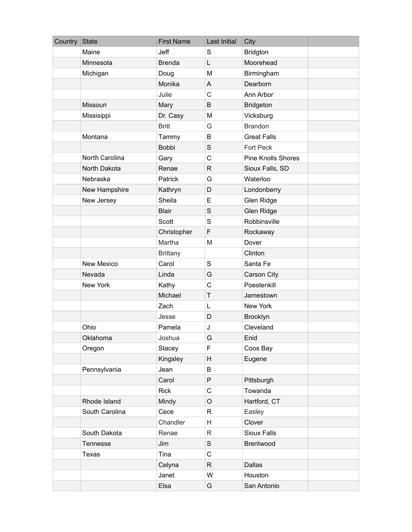| Country | <b>State</b>   | <b>First Name</b> | Last Initial | City                      |  |
|---------|----------------|-------------------|--------------|---------------------------|--|
|         | Maine          | Jeff              | S            | <b>Bridgton</b>           |  |
|         | Minnesota      | <b>Brenda</b>     | L            | Moorehead                 |  |
|         | Michigan       | Doug              | M            | Birmingham                |  |
|         |                | Monika            | A            | Dearborn                  |  |
|         |                | Julie             | C            | Ann Arbor                 |  |
|         | Missouri       | Mary              | B            | Bridgeton                 |  |
|         | Missisippi     | Dr. Casy          | M            | Vicksburg                 |  |
|         |                | <b>Britt</b>      | G            | <b>Brandon</b>            |  |
|         | Montana        | Tammy             | B            | <b>Great Falls</b>        |  |
|         |                | <b>Bobbi</b>      | $\mathbf S$  | Fort Peck                 |  |
|         | North Carolina | Gary              | C            | <b>Pine Knolls Shores</b> |  |
|         | North Dakota   | Renae             | $\mathsf{R}$ | Sioux Falls, SD           |  |
|         | Nebraska       | Patrick           | G            | Waterloo                  |  |
|         | New Hampshire  | Kathryn           | D            | Londonberry               |  |
|         | New Jersey     | Sheila            | Е            | Glen Ridge                |  |
|         |                | <b>Blair</b>      | S            | Glen Ridge                |  |
|         |                | Scott             | S            | Robbinsville              |  |
|         |                | Christopher       | F            | Rockaway                  |  |
|         |                | Martha            | M            | Dover                     |  |
|         |                | <b>Brittany</b>   |              | Clinton                   |  |
|         | New Mexico     | Carol             | S            | Santa Fe                  |  |
|         | Nevada         | Linda             | G            | Carson City               |  |
|         | New York       | Kathy             | $\mathsf C$  | Poestenkill               |  |
|         |                | Michael           | Τ            | Jamestown                 |  |
|         |                | Zach              | L            | <b>New York</b>           |  |
|         |                | Jesse             | D            | Brooklyn                  |  |
|         | Ohio           | Pamela            | J            | Cleveland                 |  |
|         | Oklahoma       | Joshua            | G            | Enid                      |  |
|         | Oregon         | <b>Stacey</b>     | F            | Coos Bay                  |  |
|         |                | Kingsley          | Н            | Eugene                    |  |
|         | Pennsylvania   | Jean              | B            |                           |  |
|         |                | Carol             | P            | Pittsburgh                |  |
|         |                | <b>Rick</b>       | C            | Towanda                   |  |
|         | Rhode Island   | Mindy             | $\circ$      | Hartford, CT              |  |
|         | South Carolina | Cece              | R            | Easley                    |  |
|         |                | Chandler          | H            | Clover                    |  |
|         | South Dakota   | Renae             | R            | Sioux Falls               |  |
|         | Tennesse       | Jim               | $\mathbf S$  | Brentwood                 |  |
|         | Texas          | Tina              | $\mathsf C$  |                           |  |
|         |                | Celyna            | R            | Dallas                    |  |
|         |                | Janet             | W            | Houston                   |  |
|         |                | Elsa              | G            | San Antonio               |  |